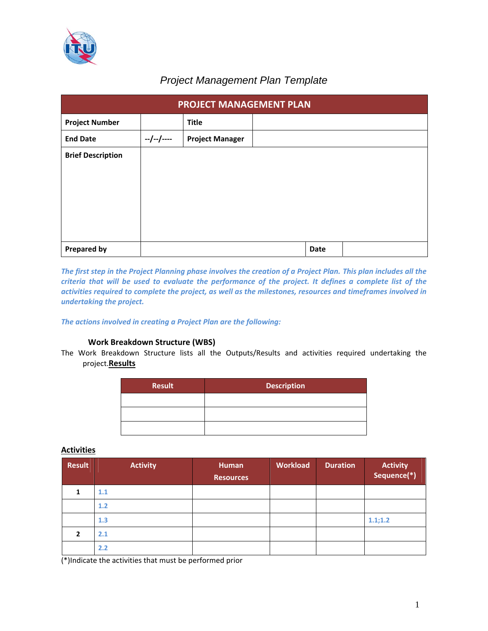

# *Project Management Plan Template*

| PROJECT MANAGEMENT PLAN  |             |                        |  |      |  |  |  |
|--------------------------|-------------|------------------------|--|------|--|--|--|
| <b>Project Number</b>    |             | <b>Title</b>           |  |      |  |  |  |
| <b>End Date</b>          | $-/-/-/---$ | <b>Project Manager</b> |  |      |  |  |  |
| <b>Brief Description</b> |             |                        |  |      |  |  |  |
|                          |             |                        |  |      |  |  |  |
|                          |             |                        |  |      |  |  |  |
|                          |             |                        |  |      |  |  |  |
|                          |             |                        |  |      |  |  |  |
| <b>Prepared by</b>       |             |                        |  | Date |  |  |  |

The first step in the Project Planning phase involves the creation of a Project Plan. This plan includes all the criteria that will be used to evaluate the performance of the project. It defines a complete list of the *activities required to complete the project, as well as the milestones, resources and timeframes involved in undertaking the project.* 

*The actions involved in creating a Project Plan are the following:*

# **1. Work Breakdown Structure (WBS)**

The Work Breakdown Structure lists all the Outputs/Results and activities required undertaking the project.**Results**

| <b>Result</b> | <b>Description</b> |
|---------------|--------------------|
|               |                    |
|               |                    |
|               |                    |

# **Activities**

| <b>Result</b> | <b>Activity</b> | Human<br><b>Resources</b> | <b>Workload</b> | <b>Duration</b> | <b>Activity</b><br>Sequence(*) |
|---------------|-----------------|---------------------------|-----------------|-----------------|--------------------------------|
|               | 1.1             |                           |                 |                 |                                |
|               | 1.2             |                           |                 |                 |                                |
|               | 1.3             |                           |                 |                 | 1.1;1.2                        |
| $\mathbf{2}$  | 2.1             |                           |                 |                 |                                |
|               | 2.2             |                           |                 |                 |                                |

(\*)Indicate the activities that must be performed prior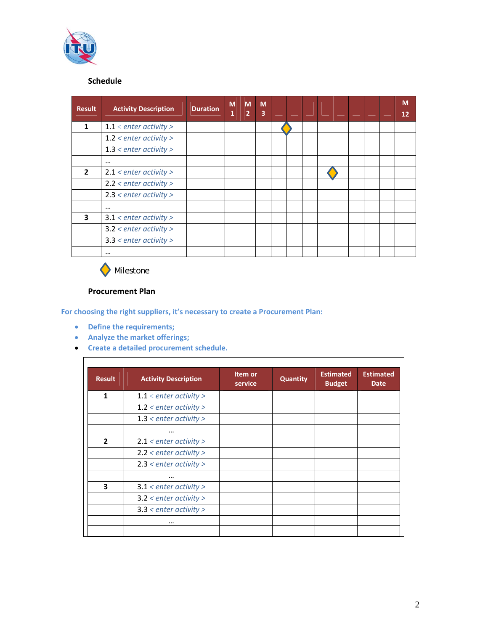

# **2. Schedule**

| <b>Result</b>  | <b>Activity Description</b> | <b>Duration</b> | $\overline{\mathsf{M}}$<br>1 | M<br>$\overline{2}$ | M<br>3 |  |  |  |  | M<br>12 |
|----------------|-----------------------------|-----------------|------------------------------|---------------------|--------|--|--|--|--|---------|
| $\mathbf{1}$   | $1.1$ < enter activity >    |                 |                              |                     |        |  |  |  |  |         |
|                | $1.2$ < enter activity >    |                 |                              |                     |        |  |  |  |  |         |
|                | $1.3$ < enter activity >    |                 |                              |                     |        |  |  |  |  |         |
|                | $\cdots$                    |                 |                              |                     |        |  |  |  |  |         |
| $\overline{2}$ | $2.1$ < enter activity >    |                 |                              |                     |        |  |  |  |  |         |
|                | $2.2$ < enter activity >    |                 |                              |                     |        |  |  |  |  |         |
|                | $2.3$ < enter activity >    |                 |                              |                     |        |  |  |  |  |         |
|                | $\cdots$                    |                 |                              |                     |        |  |  |  |  |         |
| 3              | $3.1$ < enter activity >    |                 |                              |                     |        |  |  |  |  |         |
|                | $3.2$ < enter activity >    |                 |                              |                     |        |  |  |  |  |         |
|                | $3.3$ < enter activity >    |                 |                              |                     |        |  |  |  |  |         |
|                | $\cdots$                    |                 |                              |                     |        |  |  |  |  |         |



# **3. Procurement Plan**

**For choosing the right suppliers, it's necessary to create a Procurement Plan:** 

- **Define the requirements;**
- **Analyze the market offerings;**
- **Create a detailed procurement schedule.**

| <b>Result</b>  | <b>Activity Description</b> | Item or<br>service | Quantity | <b>Estimated</b><br><b>Budget</b> | <b>Estimated</b><br><b>Date</b> |
|----------------|-----------------------------|--------------------|----------|-----------------------------------|---------------------------------|
| $\mathbf{1}$   | $1.1$ < enter activity >    |                    |          |                                   |                                 |
|                | $1.2$ < enter activity >    |                    |          |                                   |                                 |
|                | $1.3$ < enter activity >    |                    |          |                                   |                                 |
|                | $\cdots$                    |                    |          |                                   |                                 |
| $\overline{2}$ | $2.1$ < enter activity >    |                    |          |                                   |                                 |
|                | $2.2$ < enter activity >    |                    |          |                                   |                                 |
|                | $2.3$ < enter activity >    |                    |          |                                   |                                 |
|                | $\cdots$                    |                    |          |                                   |                                 |
| 3              | $3.1$ < enter activity >    |                    |          |                                   |                                 |
|                | $3.2$ < enter activity >    |                    |          |                                   |                                 |
|                | $3.3$ < enter activity >    |                    |          |                                   |                                 |
|                | $\cdots$                    |                    |          |                                   |                                 |
|                |                             |                    |          |                                   |                                 |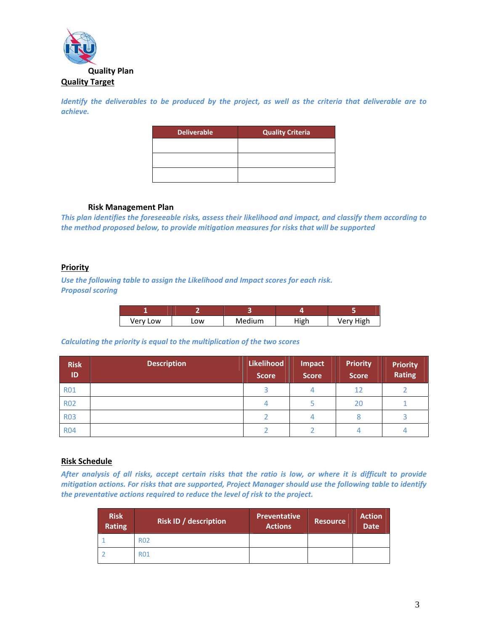

Identify the deliverables to be produced by the project, as well as the criteria that deliverable are to *achieve.*

> **Deliverable Quality Criteria**

#### **5. Risk Management Plan**

*This plan identifies the foreseeable risks, assess their likelihood and impact, and classify them according to the method proposed below, to provide mitigation measures for risks that will be supported*

#### **Priority**

*Use the following table to assign the Likelihood and Impact scores for each risk. Proposal scoring*

| Very Low | LOW | Medium | High | Very High |
|----------|-----|--------|------|-----------|

# *Calculating the priority is equal to the multiplication of the two scores*

| <b>Risk</b><br>ID | <b>Description</b> | Likelihood<br><b>Score</b> | Impact<br><b>Score</b> | <b>Priority</b><br><b>Score</b> | <b>Priority</b><br><b>Rating</b> |
|-------------------|--------------------|----------------------------|------------------------|---------------------------------|----------------------------------|
| <b>R01</b>        |                    |                            |                        | 12                              |                                  |
| <b>R02</b>        |                    |                            |                        | 20                              |                                  |
| <b>R03</b>        |                    |                            |                        |                                 |                                  |
| <b>R04</b>        |                    |                            |                        |                                 |                                  |

# **Risk Schedule**

After analysis of all risks, accept certain risks that the ratio is low, or where it is difficult to provide *mitigation actions. For risks that are supported, Project Manager should use the following table to identify the preventative actions required to reduce the level of risk to the project.*

| <b>Risk</b><br><b>Rating</b> | <b>Risk ID / description</b> | <b>Preventative</b><br><b>Actions</b> | Resource, | <b>Action</b><br><b>Date</b> |
|------------------------------|------------------------------|---------------------------------------|-----------|------------------------------|
|                              | <b>R02</b>                   |                                       |           |                              |
|                              | <b>R01</b>                   |                                       |           |                              |